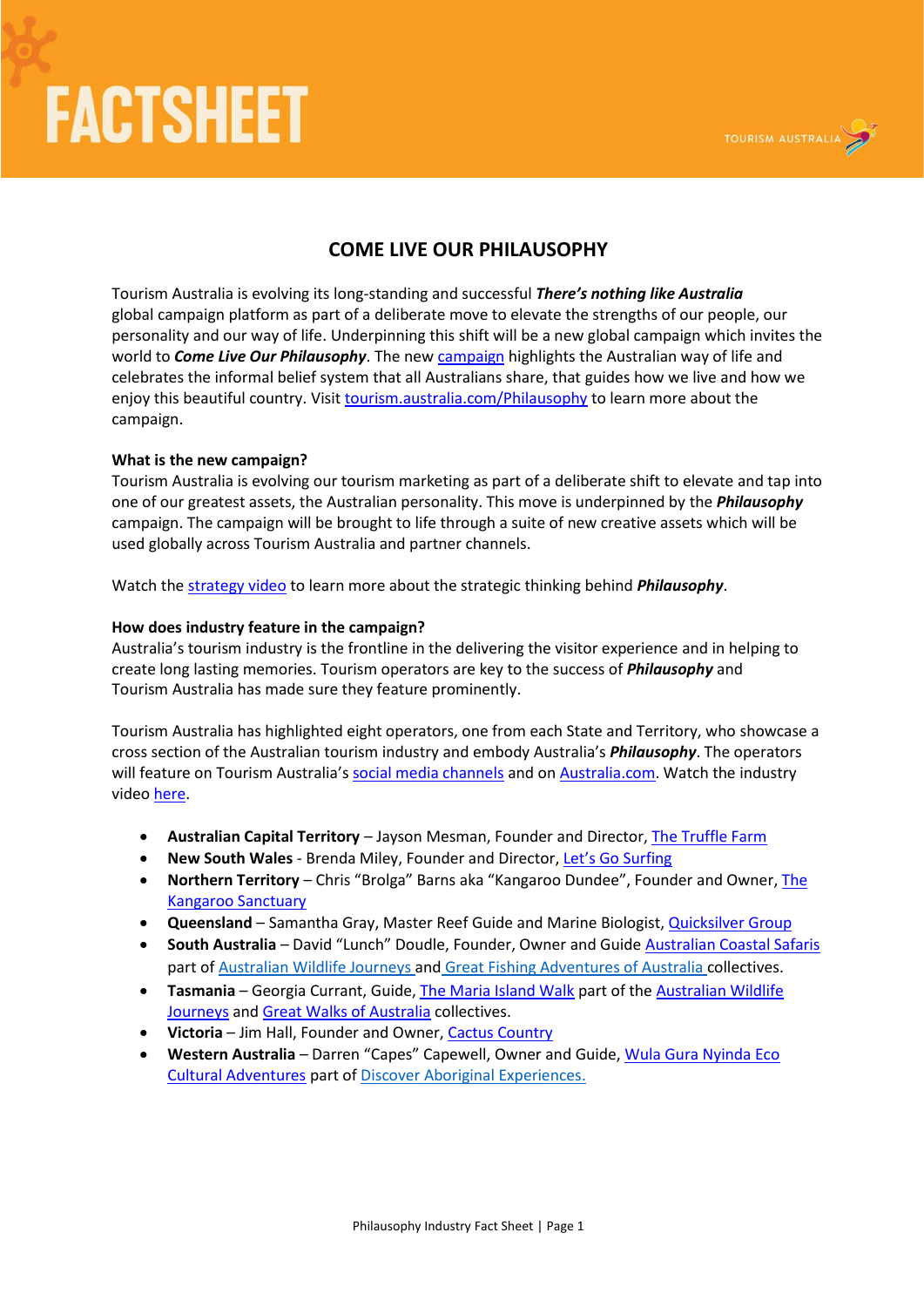## **FACTSHEET**



### **COME LIVE OUR PHILAUSOPHY**

Tourism Australia is evolving its long-standing and successful *There's nothing like Australia* global campaign platform as part of a deliberate move to elevate the strengths of our people, our personality and our way of life. Underpinning this shift will be a new global campaign which invites the world to *Come Live Our Philausophy*. The new [campaign](https://www.australia.com/philausophy) highlights the Australian way of life and celebrates the informal belief system that all Australians share, that guides how we live and how we enjoy this beautiful country. Visit [tourism.australia.com/Philausophy](http://www.tourism.australia.com/philausophy) to learn more about the campaign.

#### **What is the new campaign?**

Tourism Australia is evolving our tourism marketing as part of a deliberate shift to elevate and tap into one of our greatest assets, the Australian personality. This move is underpinned by the *Philausophy* campaign. The campaign will be brought to life through a suite of new creative assets which will be used globally across Tourism Australia and partner channels.

Watch the [strategy video](http://www.tourism.australia.com/philausophy) to learn more about the strategic thinking behind *Philausophy*.

#### **How does industry feature in the campaign?**

Australia's tourism industry is the frontline in the delivering the visitor experience and in helping to create long lasting memories. Tourism operators are key to the success of *Philausophy* and Tourism Australia has made sure they feature prominently.

Tourism Australia has highlighted eight operators, one from each State and Territory, who showcase a cross section of the Australian tourism industry and embody Australia's *Philausophy*. The operators will feature on Tourism Australia's [social media channels](http://www.tourism.australia.com/en/events-and-tools/industry-resources/building-your-tourism-business/using-social-media.html) and o[n Australia.com.](https://www.australia.com/en) Watch the industry video [here.](http://www.tourism.australia.com/philausophy)

- **Australian Capital Territory**  Jayson Mesman, Founder and Director, [The Truffle Farm](https://www.thetrufflefarm.com.au/)
- **New South Wales** Brenda Miley, Founder and Director, [Let's Go Surfing](https://letsgosurfing.com.au/)
- **Northern Territory** Chris "Brolga" Barns aka "Kangaroo Dundee", Founder and Owner[, The](https://kangaroosanctuary.com/) [Kangaroo Sanctuary](https://kangaroosanctuary.com/)
- **Queensland**  Samantha Gray, Master Reef Guide and Marine Biologist[, Quicksilver Group](https://www.quicksilvergroup.com.au/)
- **South Australia**  David "Lunch" Doudle, Founder, Owner and Guide [Australian Coastal Safaris](https://australiancoastalsafaris.com.au/) part o[f Australian Wildlife Journeys](http://www.australianwildlifejourneys.com/) and [Great Fishing Adventures of Australia](https://www.australia.com/en/things-to-do/adventure-and-sports/great-fishing-adventures.html) collectives.
- **Tasmania** Georgia Currant, Guide[, The Maria Island Walk](https://www.mariaislandwalk.com.au/) part of th[e Australian Wildlife](http://www.australianwildlifejourneys.com/) [Journeys](http://www.australianwildlifejourneys.com/) and [Great Walks of Australia](https://greatwalksofaustralia.com.au/) collectives.
- **Victoria** Jim Hall, Founder and Owner[, Cactus Country](https://www.cactuscountry.com.au/)
- **Western Australia**  Darren "Capes" Capewell, Owner and Guide[, Wula Gura Nyinda Eco](https://www.wulagura.com.au/) [Cultural Adventures](https://www.wulagura.com.au/) part o[f Discover Aboriginal Experiences.](http://www.tourism.australia.com/en/about/our-programs/signature-experiences-of-australia/discover-aboriginal-experiences.html)